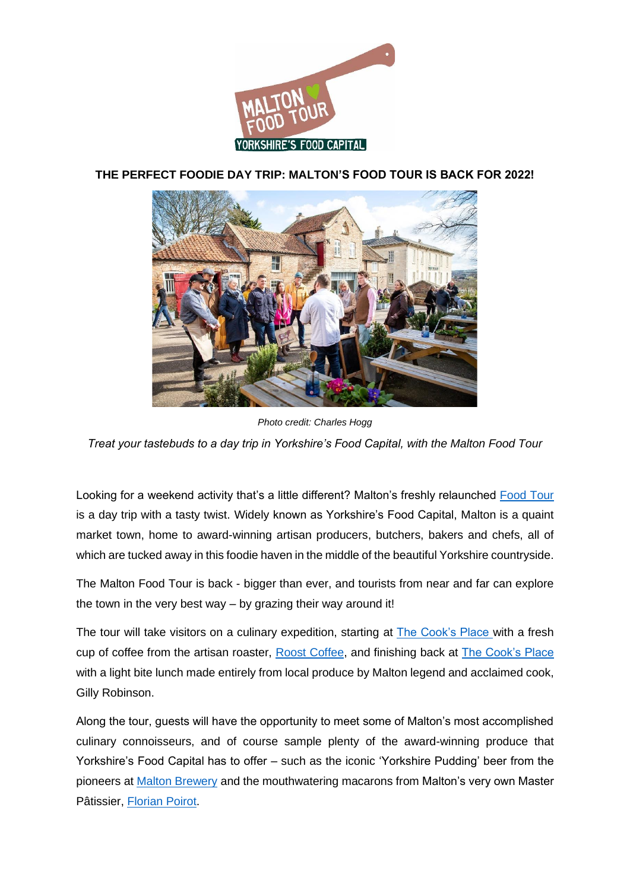

**THE PERFECT FOODIE DAY TRIP: MALTON'S FOOD TOUR IS BACK FOR 2022!** 



*Photo credit: Charles Hogg Treat your tastebuds to a day trip in Yorkshire's Food Capital, with the Malton Food Tour*

Looking for a weekend activity that's a little different? Malton's freshly relaunched [Food Tour](http://www.visitmalton.com/malton-food-tour) is a day trip with a tasty twist. Widely known as Yorkshire's Food Capital, Malton is a quaint market town, home to award-winning artisan producers, butchers, bakers and chefs, all of which are tucked away in this foodie haven in the middle of the beautiful Yorkshire countryside.

The Malton Food Tour is back - bigger than ever, and tourists from near and far can explore the town in the very best way – by grazing their way around it!

The tour will take visitors on a culinary expedition, starting at [The Cook's Place](https://www.thecooksplace.co.uk/pages/home) with a fresh cup of coffee from the artisan roaster, [Roost Coffee,](https://www.roostcoffee.co.uk/) and finishing back at [The Cook's Place](https://www.thecooksplace.co.uk/pages/home) with a light bite lunch made entirely from local produce by Malton legend and acclaimed cook, Gilly Robinson.

Along the tour, guests will have the opportunity to meet some of Malton's most accomplished culinary connoisseurs, and of course sample plenty of the award-winning produce that Yorkshire's Food Capital has to offer – such as the iconic 'Yorkshire Pudding' beer from the pioneers at [Malton Brewery](https://www.maltonbrewery.com/) and the mouthwatering macarons from Malton's very own Master Pâtissier, [Florian Poirot.](https://www.florianpoirot.com/)